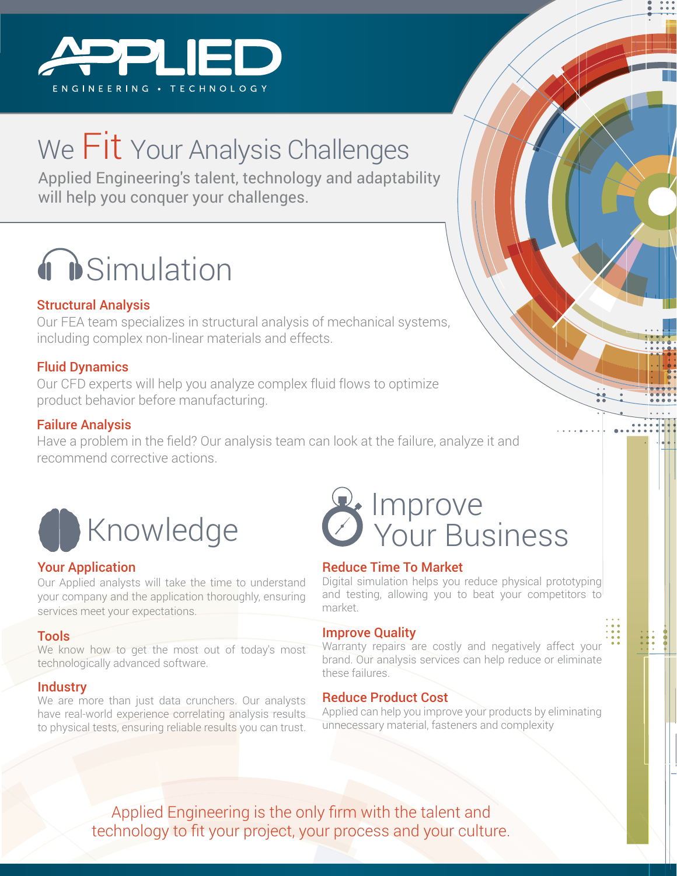

## We Fit Your Analysis Challenges

Applied Engineering's talent, technology and adaptability will help you conquer your challenges.

# **O** Simulation

### Structural Analysis

Our FEA team specializes in structural analysis of mechanical systems, including complex non-linear materials and effects.

### Fluid Dynamics

Our CFD experts will help you analyze complex fluid flows to optimize product behavior before manufacturing.

### Failure Analysis

Have a problem in the field? Our analysis team can look at the failure, analyze it and recommend corrective actions.



### Your Application

Our Applied analysts will take the time to understand your company and the application thoroughly, ensuring services meet your expectations.

#### Tools

We know how to get the most out of today's most technologically advanced software.

### **Industry**

We are more than just data crunchers. Our analysts have real-world experience correlating analysis results to physical tests, ensuring reliable results you can trust.

### Improve Your Business

### Reduce Time To Market

Digital simulation helps you reduce physical prototyping and testing, allowing you to beat your competitors to market.

### Improve Quality

Warranty repairs are costly and negatively affect your brand. Our analysis services can help reduce or eliminate these failures.

### Reduce Product Cost

Applied can help you improve your products by eliminating unnecessary material, fasteners and complexity

Applied Engineering is the only firm with the talent and technology to fit your project, your process and your culture.